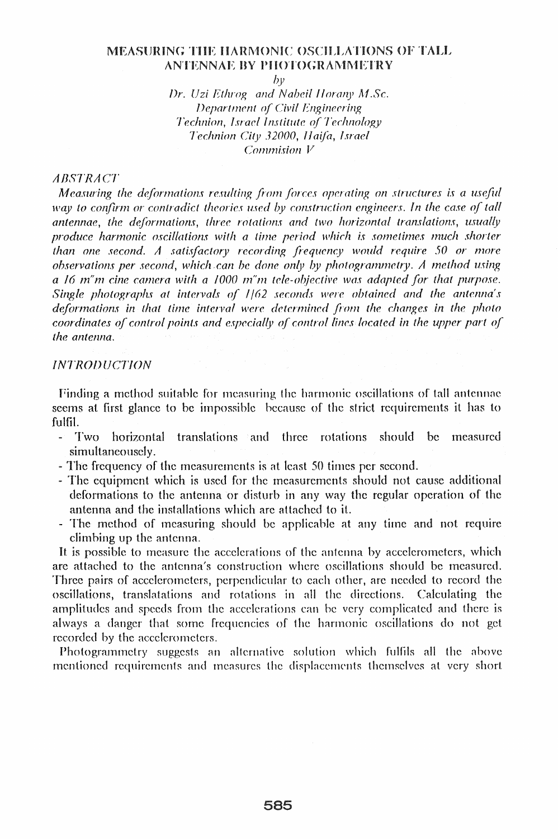## MEASURING THE HARMONIC OSCILLATIONS OF TALL ANTENNAE BY PHOTOGRAMMETRY

 $b\nu$ 

Dr. Uzi Ethrog and Nabeil Horany M.Sc. Department of Civil Engineering Technion, Israel Institute of Technology Technion City 32000, Haifa, Israel  $Commission$   $V$ 

## **ABSTRACT**

Measuring the deformations resulting from forces operating on structures is a useful way to confirm or contradict theories used by construction engineers. In the case of tall antennae, the deformations, three rotations and two horizontal translations, usually produce harmonic oscillations with a time period which is sometimes much shorter than one second. A satisfactory recording frequency would require 50 or more observations per second, which can be done only by photogrammetry. A method using a 16 m'm cine camera with a 1000 m'm tele-objective was adapted for that purpose. Single photographs at intervals of 1/62 seconds were obtained and the antenna's deformations in that time interval were determined from the changes in the photo coordinates of control points and especially of control lines located in the upper part of the antenna.

## **INTRODUCTION**

Finding a method suitable for measuring the harmonic oscillations of tall antennae seems at first glance to be impossible because of the strict requirements it has to fulfil.

- horizontal translations and three rotations should be measured Two  $\omega^{(1)}$ simultaneousely.
- The frequency of the measurements is at least 50 times per second.
- The equipment which is used for the measurements should not cause additional deformations to the antenna or disturb in any way the regular operation of the antenna and the installations which are attached to it.
- The method of measuring should be applicable at any time and not require climbing up the antenna.

It is possible to measure the accelerations of the antenna by accelerometers, which are attached to the antenna's construction where oscillations should be measured. Three pairs of accelerometers, perpendicular to each other, are needed to record the oscillations, translatations and rotations in all the directions. Calculating the amplitudes and speeds from the accelerations can be very complicated and there is always a danger that some frequencies of the harmonic oscillations do not get recorded by the accelerometers.

Photogrammetry suggests an alternative solution which fulfils all the above mentioned requirements and measures the displacements themselves at very short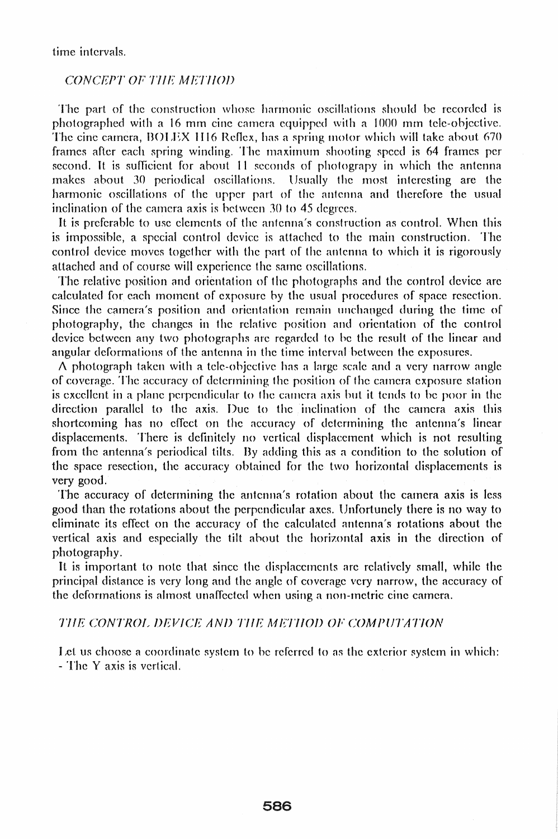time intervals.

### CONCEPT OF THE METHOD

The part of the construction whose harmonic oscillations should be recorded is photographed with a 16 mm cine camera equipped with a 1000 mm tele-objective. The cine camera, BOLEX 1116 Reflex, has a spring motor which will take about 670 frames after each spring winding. The maximum shooting speed is 64 frames per second. It is sufficient for about 11 seconds of photograpy in which the antenna makes about 30 periodical oscillations. Usually the most interesting are the harmonic oscillations of the upper part of the antenna and therefore the usual inclination of the camera axis is between 30 to 45 degrees.

It is preferable to use elements of the antenna's construction as control. When this is impossible, a special control device is attached to the main construction. The control device moves together with the part of the antenna to which it is rigorously attached and of course will experience the same oscillations.

The relative position and orientation of the photographs and the control device are calculated for each moment of exposure by the usual procedures of space resection. Since the camera's position and orientation remain unchanged during the time of photography, the changes in the relative position and orientation of the control device between any two photographs are regarded to he the result of the linear and angular deformations of the antenna in the time interval between the exposures.

 $\Lambda$  photograph taken with a tele-objective has a large scale and a very narrow angle of coverage. The accuracy of determining the position of the camera exposure station is excellent in a plane perpendicular to the camera axis but it tends to be poor in the direction parallel to the axis. Due to the inclination of the camera axis this shortcoming has no effect on the accuracy of determining the antenna's linear displacements. There is definitely no vertical displacement which is not resulting from the antenna's periodical tilts. By adding this as a condition to the solution of the space resection, the accuracy obtained for the two horizontal displacements is very good.

The accuracy of determining the antenna's rotation about the camera axis is less good than the rotations about the perpendicular axes. Unfortunely there is no way to eliminate its effect on the accuracy of the calculated antenna's rotations about the vertical axis and especially the tilt ahout the horizontal axis in the direction of photography.

It is important to note that since the displacements are relatively small, while the principal distance is very long and the angle of coverage very narrow, the accuracy of the deformations is almost unaffected when using a non-metric cine camera.

#### THE CONTROL DEVICE AND THE METHOD OF COMPUTATION

Let us choose a coordinate system to be referred to as the exterior system in which: - The Y axis is vertical.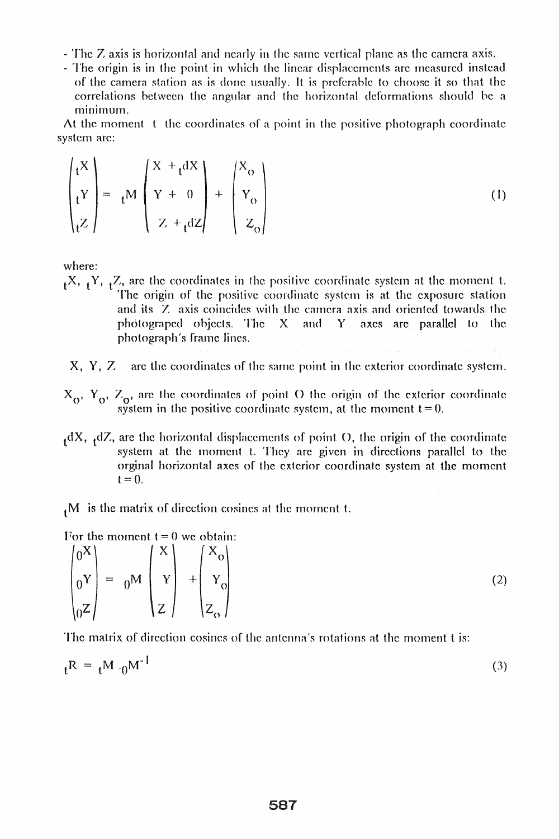- The Z axis is horizontal and nearly in the same vertical plane as the camera axis.
- The origin is in the point in which the linear displacements are measured instead of the camera station as is done usually. It is preferable to choose it so that the correlations between the angular and the horizontal deformations should be a minimum.

At the moment t the coordinates of a point in the positive photograph coordinate system are:

$$
\begin{pmatrix} t^X \\ t^Y \\ t^Z \end{pmatrix} = t^M \begin{pmatrix} x + t^{dX} \\ Y + 0 \\ Z + t^{dZ} \end{pmatrix} + \begin{pmatrix} X_o \\ Y_o \\ Z_o \end{pmatrix}
$$
 (1)

where:

 $_{1}X$ ,  $_{1}Y$ ,  $_{1}Z$ , are the coordinates in the positive coordinate system at the moment t. The origin of the positive coordinate system is at the exposure station and its Z axis coincides with the camera axis and oriented towards the photograped objects. The X and Y axes are parallel to the photograph's frame lines.

 $X, Y, Z$ are the coordinates of the same point in the exterior coordinate system.

- $X_0$ ,  $Y_0$ ,  $Z_0$ , are the coordinates of point O the origin of the exterior coordinate system in the positive coordinate system, at the moment  $t = 0$ .
- $_4$ dX,  $_4$ dZ, are the horizontal displacements of point O, the origin of the coordinate system at the moment t. They are given in directions parallel to the orginal horizontal axes of the exterior coordinate system at the moment  $t = 0$ .

 $<sub>1</sub>M$  is the matrix of direction cosines at the moment t.</sub>

For the moment  $t = 0$  we obtain:

|  | $\begin{pmatrix} 0^X \\ 0^Y \\ 0^Z \end{pmatrix} = 0^M \begin{pmatrix} x \\ y \\ z \end{pmatrix} + \begin{pmatrix} x_0 \\ y_0 \\ z_0 \end{pmatrix}$ |  |  |  |
|--|-----------------------------------------------------------------------------------------------------------------------------------------------------|--|--|--|
|  |                                                                                                                                                     |  |  |  |

The matrix of direction cosines of the antenna's rotations at the moment t is:

| $t^{R} = t^{M} \cdot 0^{M^{-1}}$ | (3) |
|----------------------------------|-----|
|----------------------------------|-----|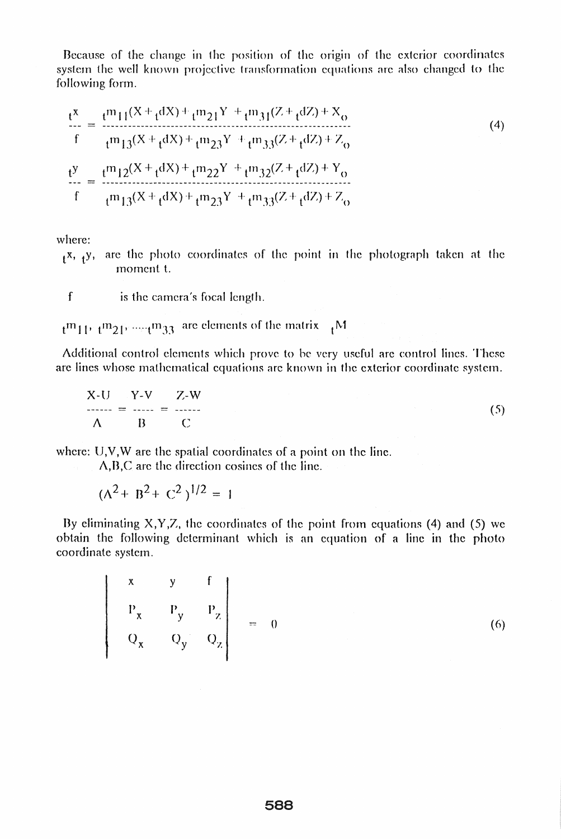Because of the change in the position of the origin of the exterior coordinates system the well known projective transformation equations are also changed to the following form.

$$
\frac{t^{X}}{f} = \frac{t^{m}11^{(X + t^{dX}) + t^{m}21^{Y} + t^{m}31^{(Z + t^{dZ}) + X_{o}}}{t^{m}13^{(X + t^{dX}) + t^{m}23^{Y} + t^{m}33^{(Z + t^{dZ}) + Z_{o}}}}
$$
\n
$$
\frac{t^{y}}{f} = \frac{t^{m}12^{(X + t^{dX}) + t^{m}22^{Y} + t^{m}32^{(Z + t^{dZ}) + Y_{o}}}{t^{m}13^{(X + t^{dX}) + t^{m}23^{Y} + t^{m}33^{(Z + t^{dZ}) + Z_{o}}}}
$$
\n(4)

where:

 $_{f}x$ ,  $_{f}y$ , are the photo coordinates of the point in the photograph taken at the moment t.

- $\int$ is the camera's focal length.
- $m_{11}$ ,  $m_{21}$ , ...,  $m_{33}$  are elements of the matrix  $M$

Additional control elements which prove to be very useful are control lines. These are lines whose mathematical equations are known in the exterior coordinate system.

$$
X-U = Y-V = Z-W
$$
  
\n
$$
A = B = C
$$
 (5)

where:  $U, V, W$  are the spatial coordinates of a point on the line.

 $\Lambda$ , B, C are the direction cosines of the line.

$$
(\Lambda^2 + B^2 + C^2)^{1/2} = 1
$$

By eliminating  $X, Y, Z$ , the coordinates of the point from equations (4) and (5) we obtain the following determinant which is an equation of a line in the photo coordinate system.

$$
\begin{vmatrix}\nx & y & f \\
P_x & P_y & P_z \\
Q_x & Q_y & Q_z\n\end{vmatrix} = 0
$$
 (6)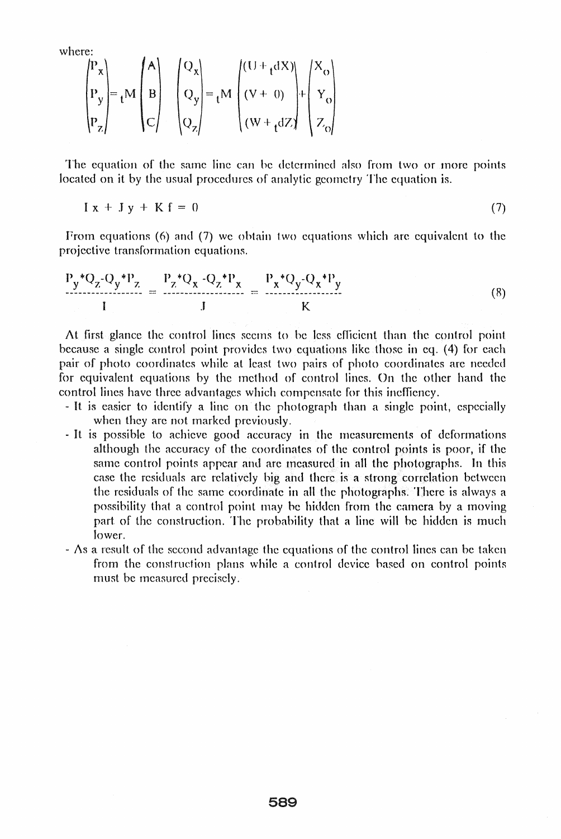where:

$$
\begin{pmatrix} P_x \\ P_y \\ P_z \end{pmatrix} = {}_{t}M \begin{pmatrix} A \\ B \\ C \end{pmatrix} \quad \begin{pmatrix} Q_x \\ Q_y \\ Q_z \end{pmatrix} = {}_{t}M \begin{pmatrix} (U + {}_{t}dX) \\ (V + 0) \\ (W + {}_{t}dZ) \end{pmatrix} + \begin{pmatrix} X_o \\ Y_o \\ Z_o \end{pmatrix}
$$

The equation of the same line can be determined also from two or more points. located on it by the usual procedures of analytic geometry The equation is.

 $I x + J y + K f = 0$  (7)

From equations (6) and (7) we obtain two equations which are equivalent to the projective transformation equations.

$$
\frac{P_y^* Q_z - Q_y^* P_z}{I} = \frac{P_z^* Q_x - Q_z^* P_x}{J} = \frac{P_x^* Q_y - Q_x^* P_y}{K}
$$
(8)

At first glance the control lines seems to be less efficient than the control point because a single control point provides two equations like those in eq. (4) for each pair of photo coordinates while at least two pairs of photo coordinates are needed for equivalent equations by the method of control lines. On the other hand the control lines have three advantages which compensate for this ineffiency.

- It is easier to identify a line on the photograph than a single point, especial1y when they are not marked previously.
- It is possible to achieve good accuracy in the measurements of deformations although the accuracy of the coordinates of the control points is poor, if the same control points appear and are measured in all the photographs. In this case the residuals are relatively big and there is a strong correlation between the residuals of the same coordinate in all the photographs. There is always a possibility that a control point may be hidden from the camera by a moving part of the construction. The probability that a line will be hidden is much lower.
- $-\Delta s$  a result of the second advantage the equations of the control lines can be taken from the construction plans while a control device based on control points must be measured precisely.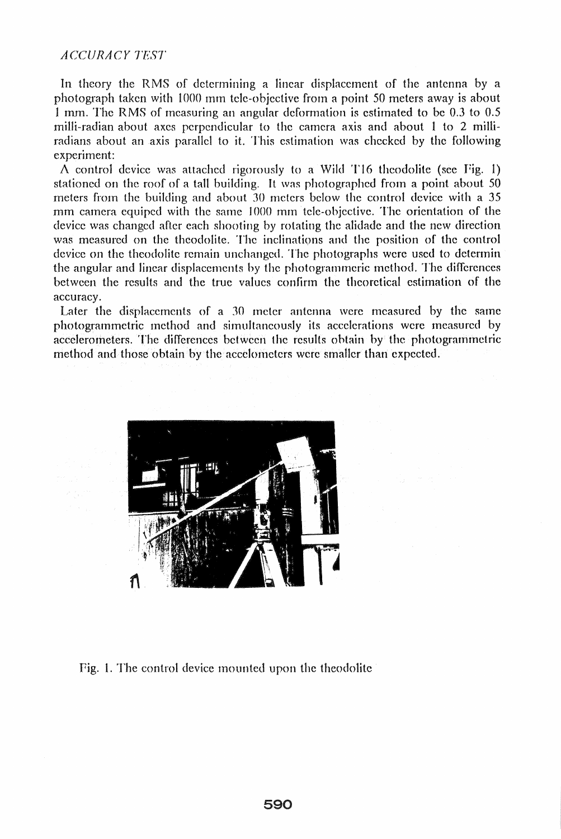# *A C-rCURACY TEST*

In theory the RMS of determining a linear displacement of the antenna by a photograph taken with 1000 mm tele-objective from a point 50 meters away is about 1 mm. The RMS of measuring an angular deformation is estimated to be 0.3 to 0.5 milli-radian about axes perpendicular to the camera axis and about 1 to 2 milliradians about an axis parallel to it. This estimation was checked by the following experiment:

A control device was attached rigorously to a Wild T16 theodolite (see Fig. 1) stationed on the roof of a tall building. It was photographed from a point about 50 meters from the building and about 30 meters below the control device with a 35 rum catnera equiped with the same 1000 mm tele-objective. The orientation of the device was changed after each shooting by rotating the alidade and the new direction was measured on the theodolite. The inclinations and the position of the control device on the theodolite remain unchanged. The photographs were used to determin the angular and linear displacements by the photogrammeric method. The differences between the results and the true values confirm the theoretical estimation of the accuracy.

Later the displacements of a  $30$  meter antenna were measured by the same photogrammetric method and simultaneously its accelerations were measured by accelerometers. The differences between the results obtain by the photogrammetric method and those obtain by the accelometers were smaller than expected.



Fig. 1. The control device mounted upon the theodolite